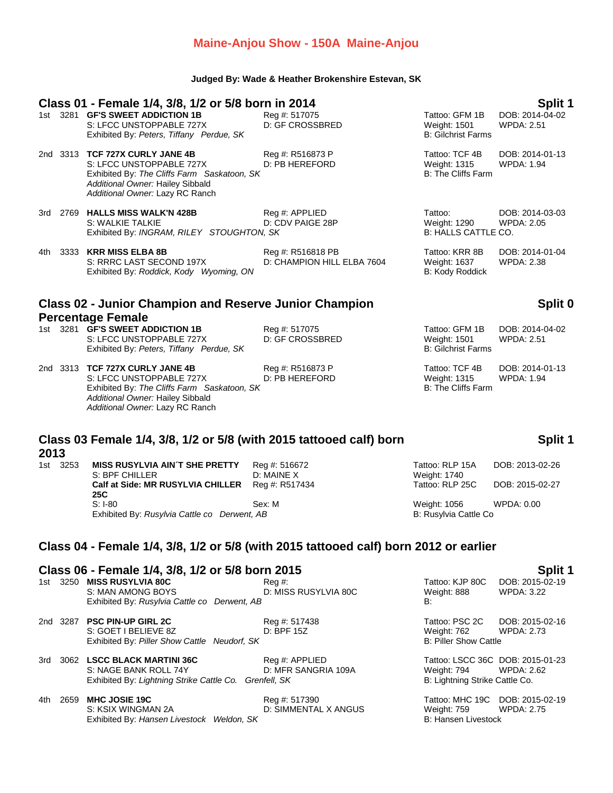## **Maine-Anjou Show - 150A Maine-Anjou**

### **Judged By: Wade & Heather Brokenshire Estevan, SK**

|                                                             |          | Class 01 - Female 1/4, 3/8, 1/2 or 5/8 born in 2014<br>1st 3281 GF'S SWEET ADDICTION 1B<br>S: LFCC UNSTOPPABLE 727X<br>Exhibited By: Peters, Tiffany Perdue, SK                   | Reg #: 517075<br>D: GF CROSSBRED                | Tattoo: GFM 1B<br>Weight: 1501<br><b>B: Gilchrist Farms</b>        | <b>Split 1</b><br>DOB: 2014-04-02<br><b>WPDA: 2.51</b> |  |
|-------------------------------------------------------------|----------|-----------------------------------------------------------------------------------------------------------------------------------------------------------------------------------|-------------------------------------------------|--------------------------------------------------------------------|--------------------------------------------------------|--|
|                                                             |          | 2nd 3313 TCF 727X CURLY JANE 4B<br>S: LFCC UNSTOPPABLE 727X<br>Exhibited By: The Cliffs Farm Saskatoon, SK<br>Additional Owner: Hailey Sibbald<br>Additional Owner: Lazy RC Ranch | Reg #: R516873 P<br>D: PB HEREFORD              | Tattoo: TCF 4B<br><b>Weight: 1315</b><br><b>B: The Cliffs Farm</b> | DOB: 2014-01-13<br><b>WPDA: 1.94</b>                   |  |
|                                                             |          | 3rd 2769 HALLS MISS WALK'N 428B<br>S: WALKIE TALKIE<br>Exhibited By: INGRAM, RILEY STOUGHTON, SK                                                                                  | Reg #: APPLIED<br>D: CDV PAIGE 28P              | Tattoo:<br>Weight: 1290<br>B: HALLS CATTLE CO.                     | DOB: 2014-03-03<br><b>WPDA: 2.05</b>                   |  |
| 4th                                                         |          | 3333 KRR MISS ELBA 8B<br>S: RRRC LAST SECOND 197X<br>Exhibited By: Roddick, Kody Wyoming, ON                                                                                      | Reg #: R516818 PB<br>D: CHAMPION HILL ELBA 7604 | Tattoo: KRR 8B<br>Weight: 1637<br>B: Kody Roddick                  | DOB: 2014-01-04<br><b>WPDA: 2.38</b>                   |  |
|                                                             |          | <b>Class 02 - Junior Champion and Reserve Junior Champion</b>                                                                                                                     |                                                 |                                                                    | Split 0                                                |  |
|                                                             |          | <b>Percentage Female</b><br>1st 3281 GF'S SWEET ADDICTION 1B<br>S: LFCC UNSTOPPABLE 727X<br>Exhibited By: Peters, Tiffany Perdue, SK                                              | Reg #: 517075<br><b>D: GF CROSSBRED</b>         | Tattoo: GFM 1B<br>Weight: 1501<br><b>B: Gilchrist Farms</b>        | DOB: 2014-04-02<br><b>WPDA: 2.51</b>                   |  |
|                                                             |          | 2nd 3313 TCF 727X CURLY JANE 4B<br>S: LFCC UNSTOPPABLE 727X<br>Exhibited By: The Cliffs Farm Saskatoon, SK<br>Additional Owner: Hailey Sibbald<br>Additional Owner: Lazy RC Ranch | Reg #: R516873 P<br>D: PB HEREFORD              | Tattoo: TCF 4B<br><b>Weight: 1315</b><br><b>B: The Cliffs Farm</b> | DOB: 2014-01-13<br><b>WPDA: 1.94</b>                   |  |
| 2013                                                        |          | Class 03 Female 1/4, 3/8, 1/2 or 5/8 (with 2015 tattooed calf) born                                                                                                               |                                                 |                                                                    | Split 1                                                |  |
|                                                             | 1st 3253 | <b>MISS RUSYLVIA AIN'T SHE PRETTY</b><br>S: BPF CHILLER<br>Calf at Side: MR RUSYLVIA CHILLER                                                                                      | Reg #: 516672<br>D: MAINE X<br>Reg #: R517434   | Tattoo: RLP 15A<br>Weight: 1740<br>Tattoo: RLP 25C                 | DOB: 2013-02-26<br>DOB: 2015-02-27                     |  |
|                                                             |          | <b>25C</b><br>$S: I-80$<br>Exhibited By: Rusylvia Cattle co Derwent, AB                                                                                                           | Sex: M                                          | Weight: 1056<br>B: Rusylvia Cattle Co                              | WPDA: 0.00                                             |  |
|                                                             |          | Class 04 - Female 1/4, 3/8, 1/2 or 5/8 (with 2015 tattooed calf) born 2012 or earlier                                                                                             |                                                 |                                                                    |                                                        |  |
| Class 06 - Female 1/4, 3/8, 1/2 or 5/8 born 2015<br>Split 1 |          |                                                                                                                                                                                   |                                                 |                                                                    |                                                        |  |
|                                                             |          | 1st 3250 MISS RUSYLVIA 80C<br>S: MAN AMONG BOYS<br>Exhibited By: Rusylvia Cattle co Derwent, AB                                                                                   | $Reg#$ :<br>D: MISS RUSYLVIA 80C                | Tattoo: KJP 80C<br>Weight: 888<br>В:                               | DOB: 2015-02-19<br>WPDA: 3.22                          |  |
|                                                             |          | 2nd 3287 PSC PIN-UP GIRL 2C<br>S: GOET I BELIEVE 8Z<br>Exhibited By: Piller Show Cattle Neudorf, SK                                                                               | Reg #: 517438<br>D: BPF 15Z                     | Tattoo: PSC 2C<br>Weight: 762<br><b>B: Piller Show Cattle</b>      | DOB: 2015-02-16<br><b>WPDA: 2.73</b>                   |  |
|                                                             |          | 3rd 3062 LSCC BLACK MARTINI 36C                                                                                                                                                   | Reg #: APPLIED                                  |                                                                    | Tattoo: LSCC 36C DOB: 2015-01-23                       |  |

S: NAGE BANK ROLL 74Y D: MFR SANGRIA 109A Weight: 794 WPDA: 2.62 S: NAGE BANK ROLL 74Y D: MFR SANGRIA 109A Weight: 794 WPDA: 2.<br>Exhibited By: *Lightning Strike Cattle Co.* Grenfell, SK B: Lightning Strike Cattle Co.

4th 2659 **MHC JOSIE 19C** Reg #: 517390 Tattoo: MHC 19C DOB: 2015-02-19 Exhibited By: *Hansen Livestock Weldon, SK* **B: Hansen Livestock** B: Hansen Livestock

Weight: 759 WPDA: 2.75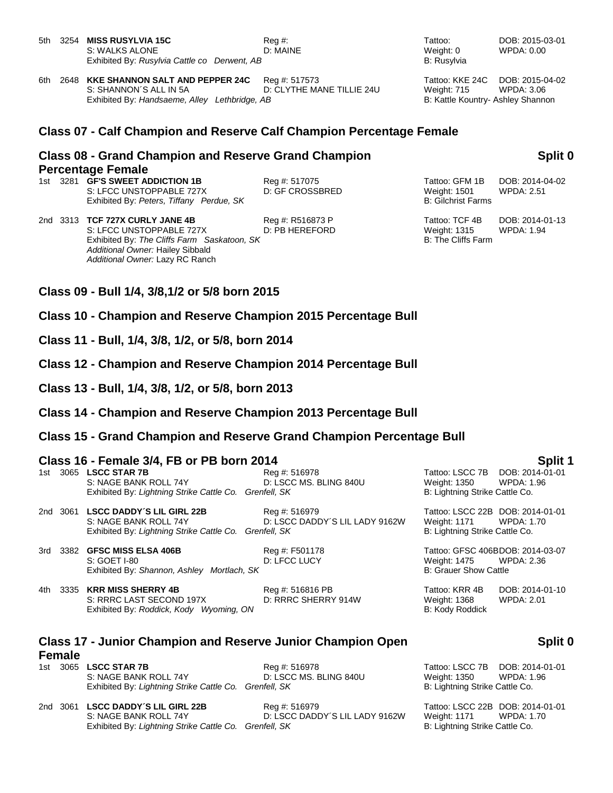- 5th 3254 **MISS RUSYLVIA 15C** Reg #: Tattoo: DOB: 2015-03-01 S: WALKS ALONE **D: MAINE** D: MAINE Weight: 0 WPDA: 0.00 Exhibited By: *Rusylvia Cattle co Derwent, AB* B: Rusylvia
- 6th 2648 **KKE SHANNON SALT AND PEPPER 24C** Reg #: 517573 Tattoo: KKE 24C DOB: 2015-04-02 S: SHANNON´S ALL IN 5A D: CLYTHE MANE TILLIE 24U Weight: 715 WPDA: 3.06 Exhibited By: *Handsaeme, Alley Lethbridge, AB* B: Kattle Kountry- Ashley Shannon

### **Class 07 - Calf Champion and Reserve Calf Champion Percentage Female**

### **Class 08 - Grand Champion and Reserve Grand Champion Percentage Female**

1st 3281 **GF'S SWEET ADDICTION 1B** Req #: 517075 Tattoo: GFM 1B DOB: 2014-04-02 S: LFCC UNSTOPPABLE 727X D: GF CROSSBRED Weight: 1501 WPDA: 2.51 Exhibited By: Peters, Tiffany Perdue, SK B: Gilchrist Farms

- 2nd 3313 **TCF 727X CURLY JANE 4B** Reg #: R516873 P Tattoo: TCF 4B DOB: 2014-01-13 S: LFCC UNSTOPPABLE 727X D: PB HEREFORD Weight: 1315 WPDA: 1.94 Exhibited By: The Cliffs Farm Saskatoon, SK B: The Cliffs Farm Saskatoon, SK *Additional Owner:* Hailey Sibbald *Additional Owner:* Lazy RC Ranch
- **Class 09 - Bull 1/4, 3/8,1/2 or 5/8 born 2015**
- **Class 10 - Champion and Reserve Champion 2015 Percentage Bull**
- **Class 11 - Bull, 1/4, 3/8, 1/2, or 5/8, born 2014**
- **Class 12 - Champion and Reserve Champion 2014 Percentage Bull**
- **Class 13 - Bull, 1/4, 3/8, 1/2, or 5/8, born 2013**
- **Class 14 - Champion and Reserve Champion 2013 Percentage Bull**
- **Class 15 - Grand Champion and Reserve Grand Champion Percentage Bull**

| Class 16 - Female 3/4, FB or PB born 2014 | Split 1 |                               |               |  |                                  |
|-------------------------------------------|---------|-------------------------------|---------------|--|----------------------------------|
|                                           |         | 1st 3065 <b>I SCC STAR 7B</b> | Red #: 516978 |  | Tattoo: I SCC 7B DOB: 2014-01-01 |

| 1st. | 3065 LSCC STAR 7B<br>S: NAGE BANK ROLL 74Y<br>Exhibited By: Lightning Strike Cattle Co. Grenfell, SK                  | Reg #: 516978<br>D: LSCC MS. BLING 840U         | Tattoo: LSCC 7B DOB: 2014-01-01<br>Weight: 1350 WPDA: 1.96<br>B: Lightning Strike Cattle Co.  |  |
|------|-----------------------------------------------------------------------------------------------------------------------|-------------------------------------------------|-----------------------------------------------------------------------------------------------|--|
|      | 2nd 3061 LSCC DADDY'S LIL GIRL 22B<br>S: NAGE BANK ROLL 74Y<br>Exhibited By: Lightning Strike Cattle Co. Grenfell, SK | Reg #: 516979<br>D: LSCC DADDY'S LIL LADY 9162W | Tattoo: LSCC 22B DOB: 2014-01-01<br>Weight: 1171 WPDA: 1.70<br>B: Lightning Strike Cattle Co. |  |

3rd 3382 **GFSC MISS ELSA 406B** Reg #: F501178 Tattoo: GFSC 406BDOB: 2014-03-07 S: GOET I-80 COMPUTE: COMPUTE: D. LECC LUCY COMPUTE: NET ALLY MEDIA: 2.36 Exhibited By: *Shannon, Ashley Mortlach, SK* B: Grauer Show Cattle

4th 3335 **KRR MISS SHERRY 4B** Reg #: 516816 PB Tattoo: KRR 4B DOB: 2014-01-10 S: RRRC LAST SECOND 197X D: RRRC SHERRY 914W Weight: 1368 WPDA: 2.01 Exhibited By: *Roddick, Kody Wyoming, ON* B: Kody Roddick By: Kody Roddick

## **Class 17 - Junior Champion and Reserve Junior Champion Open Female**

- 1st 3065 **LSCC STAR 7B** Reg #: 516978 Tattoo: LSCC 7B DOB: 2014-01-01 S: NAGE BANK ROLL 74Y D: LSCC MS. BLING 840U Weight: 1350 WPDA: 1.96 Exhibited By: Lightning Strike Cattle Co. Grenfell, SK B: Lightning Strike Cattle Co.
- 2nd 3061 **LSCC DADDY´S LIL GIRL 22B** Reg #: 516979 Tattoo: LSCC 22B DOB: 2014-01-01 S: NAGE BANK ROLL 74Y D: LSCC DADDY´S LIL LADY 9162W Weight: 1171 WPDA: 1.70 Exhibited By: Lightning Strike Cattle Co. Grenfell, SK B: Lightning Strike Cattle Co.

**Split 0**

- 
- 
- 
- 

# **Split 0**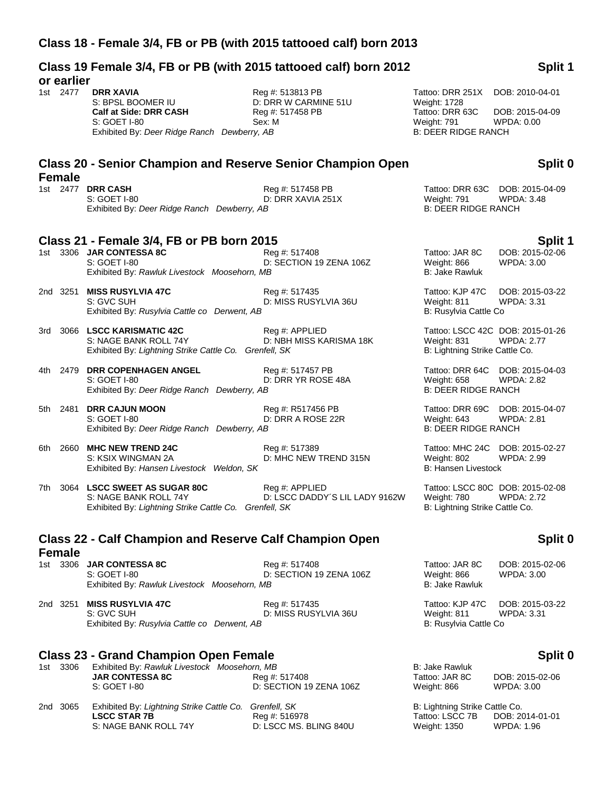**Class 19 Female 3/4, FB or PB (with 2015 tattooed calf) born 2012** 

| or earlier    |                                                                                                                                        |                                                                        |                                                                                                  |                                                       |
|---------------|----------------------------------------------------------------------------------------------------------------------------------------|------------------------------------------------------------------------|--------------------------------------------------------------------------------------------------|-------------------------------------------------------|
| 1st 2477      | <b>DRR XAVIA</b><br>S: BPSL BOOMER IU<br>Calf at Side: DRR CASH<br>S: GOET I-80<br>Exhibited By: Deer Ridge Ranch Dewberry, AB         | Reg #: 513813 PB<br>D: DRR W CARMINE 51U<br>Reg #: 517458 PB<br>Sex: M | Tattoo: DRR 251X<br>Weight: 1728<br>Tattoo: DRR 63C<br>Weight: 791<br><b>B: DEER RIDGE RANCH</b> | DOB: 2010-04-01<br>DOB: 2015-04-09<br>WPDA: 0.00      |
|               | <b>Class 20 - Senior Champion and Reserve Senior Champion Open</b>                                                                     |                                                                        |                                                                                                  | Split 0                                               |
| <b>Female</b> | 1st 2477 DRR CASH<br>S: GOET I-80<br>Exhibited By: Deer Ridge Ranch Dewberry, AB                                                       | Reg #: 517458 PB<br>D: DRR XAVIA 251X                                  | Weight: 791<br><b>B: DEER RIDGE RANCH</b>                                                        | Tattoo: DRR 63C DOB: 2015-04-09<br><b>WPDA: 3.48</b>  |
|               | Class 21 - Female 3/4, FB or PB born 2015<br>1st 3306 JAR CONTESSA 8C<br>S: GOET I-80<br>Exhibited By: Rawluk Livestock Moosehorn, MB  | Reg #: 517408<br>D: SECTION 19 ZENA 106Z                               | Tattoo: JAR 8C<br>Weight: 866<br><b>B: Jake Rawluk</b>                                           | Split 1<br>DOB: 2015-02-06<br><b>WPDA: 3.00</b>       |
| 2nd 3251      | <b>MISS RUSYLVIA 47C</b><br>S: GVC SUH<br>Exhibited By: Rusylvia Cattle co Derwent, AB                                                 | Reg #: 517435<br>D: MISS RUSYLVIA 36U                                  | Tattoo: KJP 47C<br>Weight: 811<br>B: Rusylvia Cattle Co                                          | DOB: 2015-03-22<br><b>WPDA: 3.31</b>                  |
| 3rd           | 3066 LSCC KARISMATIC 42C<br>S: NAGE BANK ROLL 74Y<br>Exhibited By: Lightning Strike Cattle Co. Grenfell, SK                            | Reg #: APPLIED<br>D: NBH MISS KARISMA 18K                              | Weight: 831<br>B: Lightning Strike Cattle Co.                                                    | Tattoo: LSCC 42C DOB: 2015-01-26<br><b>WPDA: 2.77</b> |
| 4th           | 2479 DRR COPENHAGEN ANGEL<br>S: GOET I-80<br>Exhibited By: Deer Ridge Ranch Dewberry, AB                                               | Reg #: 517457 PB<br>D: DRR YR ROSE 48A                                 | Tattoo: DRR 64C<br>Weight: 658<br><b>B: DEER RIDGE RANCH</b>                                     | DOB: 2015-04-03<br><b>WPDA: 2.82</b>                  |
| 5th           | 2481 DRR CAJUN MOON<br>S: GOET I-80<br>Exhibited By: Deer Ridge Ranch Dewberry, AB                                                     | Reg #: R517456 PB<br>D: DRR A ROSE 22R                                 | Tattoo: DRR 69C<br>Weight: 643<br><b>B: DEER RIDGE RANCH</b>                                     | DOB: 2015-04-07<br><b>WPDA: 2.81</b>                  |
| 6th           | 2660 MHC NEW TREND 24C<br>S: KSIX WINGMAN 2A<br>Exhibited By: Hansen Livestock Weldon, SK                                              | Reg #: 517389<br>D: MHC NEW TREND 315N                                 | Tattoo: MHC 24C<br>Weight: 802<br><b>B: Hansen Livestock</b>                                     | DOB: 2015-02-27<br><b>WPDA: 2.99</b>                  |
| 7th           | 3064 LSCC SWEET AS SUGAR 80C<br>S: NAGE BANK ROLL 74Y<br>Exhibited By: Lightning Strike Cattle Co. Grenfell, SK                        | Reg #: APPLIED<br>D: LSCC DADDY'S LIL LADY 9162W                       | Weight: 780<br>B: Lightning Strike Cattle Co.                                                    | Tattoo: LSCC 80C DOB: 2015-02-08<br><b>WPDA: 2.72</b> |
| <b>Female</b> | <b>Class 22 - Calf Champion and Reserve Calf Champion Open</b>                                                                         |                                                                        |                                                                                                  | Split 0                                               |
|               | 1st 3306 JAR CONTESSA 8C<br>S: GOET I-80<br>Exhibited By: Rawluk Livestock Moosehorn, MB                                               | Reg #: 517408<br>D: SECTION 19 ZENA 106Z                               | Tattoo: JAR 8C<br>Weight: 866<br><b>B: Jake Rawluk</b>                                           | DOB: 2015-02-06<br><b>WPDA: 3.00</b>                  |
| 2nd 3251      | <b>MISS RUSYLVIA 47C</b><br>S: GVC SUH<br>Exhibited By: Rusylvia Cattle co Derwent, AB                                                 | Reg #: 517435<br>D: MISS RUSYLVIA 36U                                  | Tattoo: KJP 47C<br>Weight: 811<br>B: Rusylvia Cattle Co                                          | DOB: 2015-03-22<br><b>WPDA: 3.31</b>                  |
| 1st 3306      | <b>Class 23 - Grand Champion Open Female</b><br>Exhibited By: Rawluk Livestock Moosehorn, MB<br><b>JAR CONTESSA 8C</b><br>S: GOET I-80 | Reg #: 517408<br>D: SECTION 19 ZENA 106Z                               | <b>B: Jake Rawluk</b><br>Tattoo: JAR 8C<br>Weight: 866                                           | Split 0<br>DOB: 2015-02-06<br><b>WPDA: 3.00</b>       |
| 2nd 3065      | Exhibited By: Lightning Strike Cattle Co.<br><b>LSCC STAR 7B</b><br>S: NAGE BANK ROLL 74Y                                              | Grenfell, SK<br>Reg #: 516978<br>D: LSCC MS. BLING 840U                | B: Lightning Strike Cattle Co.<br>Tattoo: LSCC 7B<br>Weight: 1350                                | DOB: 2014-01-01<br><b>WPDA: 1.96</b>                  |

# **Split 1**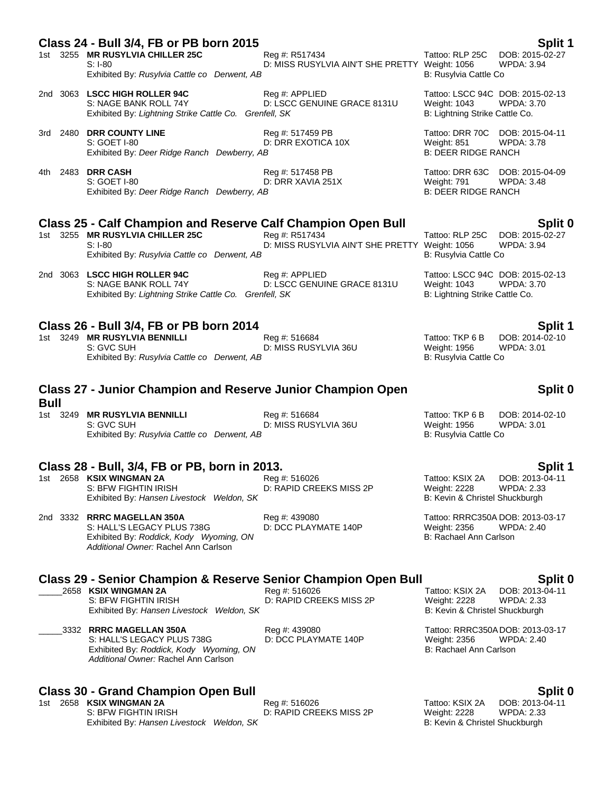## **Class 24 - Bull 3/4, FB or PB born 2015 Split 1**

|  | 1st 3255 MR RUSYLVIA CHILLER 25C             | Rea #: R517434                                 | Tattoo: RLP 25C DOB: 2015-02-27 |            |
|--|----------------------------------------------|------------------------------------------------|---------------------------------|------------|
|  | S: I-80                                      | D: MISS RUSYLVIA AIN'T SHE PRETTY Weight: 1056 |                                 | WPDA: 3.94 |
|  | Exhibited By: Rusylvia Cattle co Derwent, AB |                                                | B: Rusvlvia Cattle Co           |            |

2nd 3063 **LSCC HIGH ROLLER 94C** Reg #: APPLIED Tattoo: LSCC 94C DOB: 2015-02-13<br>S: NAGE BANK ROLL 74Y D: LSCC GENUINE GRACE 8131U Weight: 1043 WPDA: 3.70 D: LSCC GENUINE GRACE 8131U Exhibited By: *Lightning Strike Cattle Co. Grenfell, SK* B: Lightning Strike Cattle Co.

3rd 2480 **DRR COUNTY LINE** Reg #: 517459 PB Tattoo: DRR 70C DOB: 2015-04-11<br>S: GOET I-80 **Tattoo: DRR EXOTICA 10X** Weight: 851 WPDA: 3.78 D: DRR EXOTICA 10X Exhibited By: *Deer Ridge Ranch Dewberry, AB* B: **BEER RIDGE RANCH** 

4th 2483 **DRR CASH** Reg #: 517458 PB Tattoo: DRR 63C DOB: 2015-04-09 S: GOET I-80 **D: DRR XAVIA 251X** D: DRR XAVIA 251X Weight: 791 WPDA: 3.48<br>Exhibited By: *Deer Ridge Ranch Dewberry. AB* B: DEER RIDGE RANCH Exhibited By: *Deer Ridge Ranch Dewberry, AB* 

# **Class 25 - Calf Champion and Reserve Calf Champion Open Bull Split 0**

1st 3255 **MR RUSYLVIA CHILLER 25C** Reg #: R517434 S: I-80 **D: MISS RUSYLVIA AIN'T SHE PRETTY Weight: 1056** WPDA: 3.94 Exhibited By: *Rusylvia Cattle co Derwent, AB* B: Rusylvia Cattle Co Derwent, AB

2nd 3063 **LSCC HIGH ROLLER 94C** Reg #: APPLIED Tattoo: LSCC 94C DOB: 2015-02-13 S: NAGE BANK ROLL 74Y **DEXALL AND BEAC GENUINE GRACE 8131U** Weight: 1043 WPDA: 3.70

### **Class 26 - Bull 3/4, FB or PB born 2014 Split 1**

1st 3249 **MR RUSYLVIA BENNILLI** Reg #: 516684 Tattoo: TKP 6 B DOB: 2014-02-10<br>S: GVC SUH St RUSYLVIA 36U Weight: 1956 WPDA: 3.01 D: MISS RUSYLVIA 36U Weight: 1956 WEDA: NORTHER ON B: Rusylvia Cattle Co Exhibited By: Rusylvia Cattle co Derwent, AB

### **Class 27 - Junior Champion and Reserve Junior Champion Open Bull**

Exhibited By: *Rusylvia Cattle co Derwent, AB* B: Rusylvia Cattle Co Cattle Co Derwent, AB

# **Class 28 - Bull, 3/4, FB or PB, born in 2013. Split 1**

1st 2658 **KSIX WINGMAN 2A** Reg #: 516026 Reg **Example 2658 KSIX 2A** DOB: 2013-04-11<br>S: BFW FIGHTIN IRISH D: RAPID CREEKS MISS 2P Weight: 2228 WPDA: 2.33 D: RAPID CREEKS MISS 2P Weight: 2228 WPDA: 2.33<br>B: Kevin & Christel Shuckburgh Exhibited By: Hansen Livestock Weldon, SK

S: HALL'S LEGACY PLUS 738G D: DCC PLAYMATE 140P Weight: 2356 WPD<br>Exhibited By: Roddick. Kody Wyoming. ON B: Rachael Ann Carlson Exhibited By: *Roddick, Kody Wyoming, ON Additional Owner:* Rachel Ann Carlson

# **Class 29 - Senior Champion & Reserve Senior Champion Open Bull Split 0**

\_\_\_\_\_2658 **KSIX WINGMAN 2A** Reg #: 516026 Tattoo: KSIX 2A DOB: 2013-04-11

S: HALL'S LEGACY PLUS 738G D: DCC PLAYMATE 140P Weight: 2356 WPDA: 2.40 Exhibited By: *Roddick, Kody Wyoming, ON* B: Rachael Ann Carlson *Additional Owner:* Rachel Ann Carlson

# **Class 30 - Grand Champion Open Bull Split 0**

1st 2658 **KSIX WINGMAN 2A** Reg #: 516026 Reg #: 516026 Tattoo: KSIX 2A DOB: 2013-04-11<br>S: BFW FIGHTIN IRISH D: RAPID CREEKS MISS 2P Weight: 2228 WPDA: 2.33 Exhibited By: Hansen Livestock Weldon, SK

Exhibited By: *Rusylvia Cattle co Derwent, AB* B: Rusylvia Cattle Co

Exhibited By: Lightning Strike Cattle Co. Grenfell, SK B: Lightning Strike Cattle Co.

### **Split 0**

1st 3249 **MR RUSYLVIA BENNILLI** Reg #: 516684 Tattoo: TKP 6 B DOB: 2014-02-10 S: GVC SUH D: MISS RUSYLVIA 36U Weight: 1956 WPDA: 3.01

2nd 3332 **RRRC MAGELLAN 350A** Reg #: 439080 Tattoo: RRRC350A DOB: 2013-03-17

S: BFW FIGHTIN IRISH D: RAPID CREEKS MISS 2P Weight: 2228 WPDA: 2.33 Exhibited By: *Hansen Livestock Weldon, SK* **B: Kevin & Christel Shuckburgh** B: Kevin & Christel Shuckburgh

\_\_\_\_\_3332 **RRRC MAGELLAN 350A** Reg #: 439080 Tattoo: RRRC350A DOB: 2013-03-17

D: RAPID CREEKS MISS 2P Weight: 2228 WPDA: 2.33<br>B: Kevin & Christel Shuckburgh